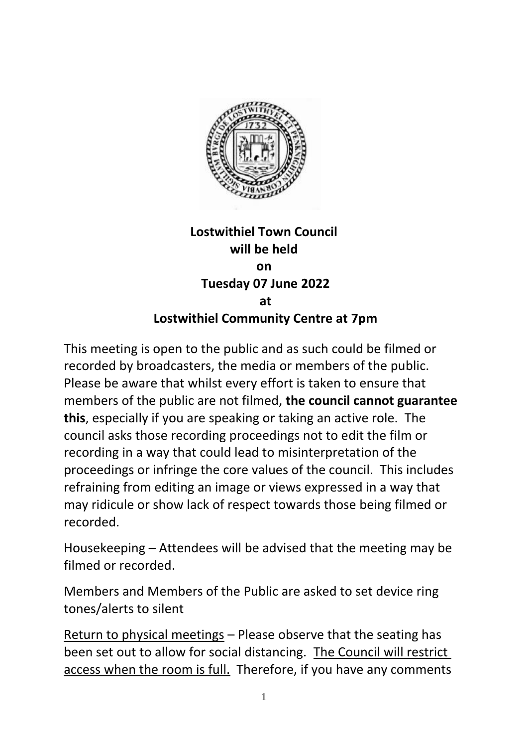

## **Lostwithiel Town Council will be held on Tuesday 07 June 2022 at Lostwithiel Community Centre at 7pm**

This meeting is open to the public and as such could be filmed or recorded by broadcasters, the media or members of the public. Please be aware that whilst every effort is taken to ensure that members of the public are not filmed, **the council cannot guarantee this**, especially if you are speaking or taking an active role. The council asks those recording proceedings not to edit the film or recording in a way that could lead to misinterpretation of the proceedings or infringe the core values of the council. This includes refraining from editing an image or views expressed in a way that may ridicule or show lack of respect towards those being filmed or recorded.

Housekeeping – Attendees will be advised that the meeting may be filmed or recorded.

Members and Members of the Public are asked to set device ring tones/alerts to silent

Return to physical meetings – Please observe that the seating has been set out to allow for social distancing. The Council will restrict access when the room is full. Therefore, if you have any comments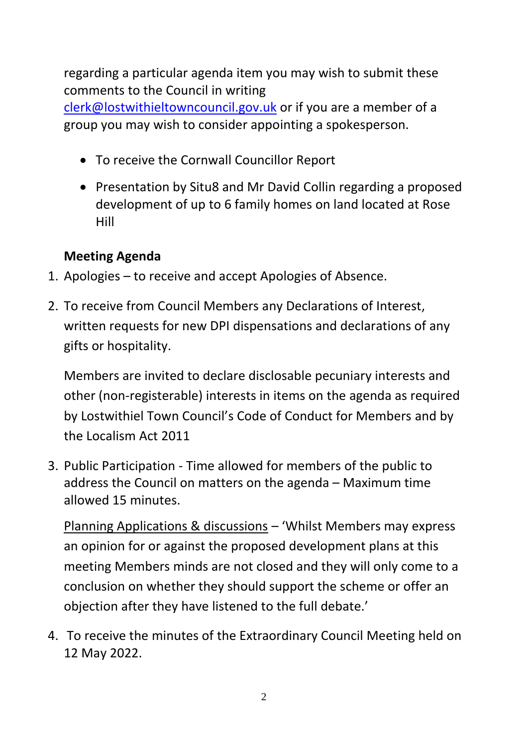regarding a particular agenda item you may wish to submit these comments to the Council in writing

[clerk@lostwithieltowncouncil.gov.uk](mailto:clerk@lostwithieltowncouncil.gov.uk) or if you are a member of a group you may wish to consider appointing a spokesperson.

- To receive the Cornwall Councillor Report
- Presentation by Situ8 and Mr David Collin regarding a proposed development of up to 6 family homes on land located at Rose Hill

## **Meeting Agenda**

- 1. Apologies to receive and accept Apologies of Absence.
- 2. To receive from Council Members any Declarations of Interest, written requests for new DPI dispensations and declarations of any gifts or hospitality.

Members are invited to declare disclosable pecuniary interests and other (non-registerable) interests in items on the agenda as required by Lostwithiel Town Council's Code of Conduct for Members and by the Localism Act 2011

3. Public Participation - Time allowed for members of the public to address the Council on matters on the agenda – Maximum time allowed 15 minutes.

Planning Applications & discussions – 'Whilst Members may express an opinion for or against the proposed development plans at this meeting Members minds are not closed and they will only come to a conclusion on whether they should support the scheme or offer an objection after they have listened to the full debate.'

4. To receive the minutes of the Extraordinary Council Meeting held on 12 May 2022.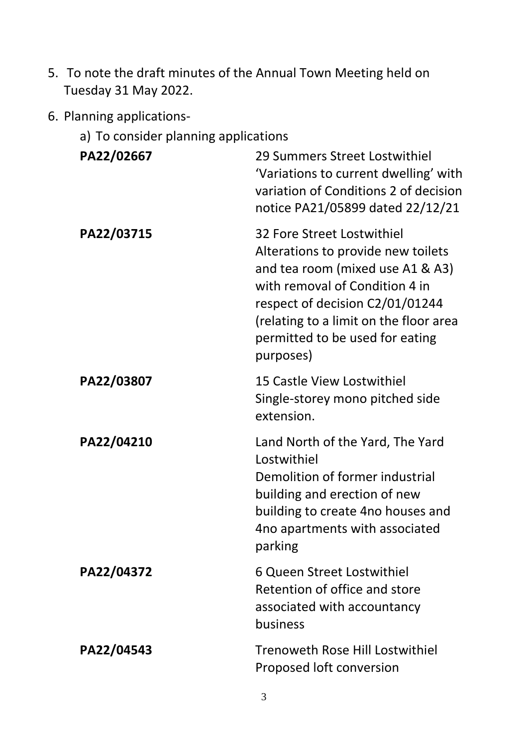- 5. To note the draft minutes of the Annual Town Meeting held on Tuesday 31 May 2022.
- 6. Planning applications
	- a) To consider planning applications

| PA22/02667 | 29 Summers Street Lostwithiel<br>'Variations to current dwelling' with<br>variation of Conditions 2 of decision<br>notice PA21/05899 dated 22/12/21                                                                                                                 |
|------------|---------------------------------------------------------------------------------------------------------------------------------------------------------------------------------------------------------------------------------------------------------------------|
| PA22/03715 | 32 Fore Street Lostwithiel<br>Alterations to provide new toilets<br>and tea room (mixed use A1 & A3)<br>with removal of Condition 4 in<br>respect of decision C2/01/01244<br>(relating to a limit on the floor area<br>permitted to be used for eating<br>purposes) |
| PA22/03807 | 15 Castle View Lostwithiel<br>Single-storey mono pitched side<br>extension.                                                                                                                                                                                         |
| PA22/04210 | Land North of the Yard, The Yard<br>Lostwithiel<br>Demolition of former industrial<br>building and erection of new<br>building to create 4no houses and<br>4no apartments with associated<br>parking                                                                |
| PA22/04372 | 6 Queen Street Lostwithiel<br>Retention of office and store<br>associated with accountancy<br>business                                                                                                                                                              |
| PA22/04543 | <b>Trenoweth Rose Hill Lostwithiel</b><br>Proposed loft conversion                                                                                                                                                                                                  |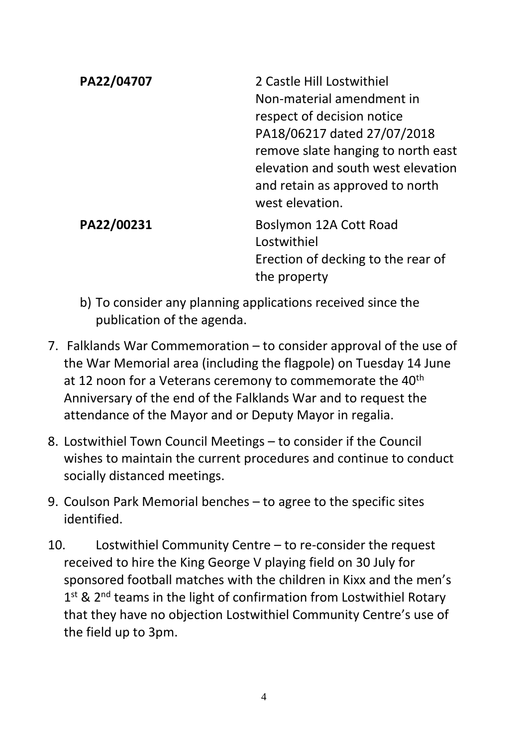| PA22/04707 | 2 Castle Hill Lostwithiel<br>Non-material amendment in<br>respect of decision notice<br>PA18/06217 dated 27/07/2018<br>remove slate hanging to north east<br>elevation and south west elevation<br>and retain as approved to north<br>west elevation. |
|------------|-------------------------------------------------------------------------------------------------------------------------------------------------------------------------------------------------------------------------------------------------------|
| PA22/00231 | Boslymon 12A Cott Road<br>Lostwithiel<br>Erection of decking to the rear of<br>the property                                                                                                                                                           |

- b) To consider any planning applications received since the publication of the agenda.
- 7. Falklands War Commemoration to consider approval of the use of the War Memorial area (including the flagpole) on Tuesday 14 June at 12 noon for a Veterans ceremony to commemorate the 40<sup>th</sup> Anniversary of the end of the Falklands War and to request the attendance of the Mayor and or Deputy Mayor in regalia.
- 8. Lostwithiel Town Council Meetings to consider if the Council wishes to maintain the current procedures and continue to conduct socially distanced meetings.
- 9. Coulson Park Memorial benches to agree to the specific sites identified.
- 10. Lostwithiel Community Centre to re-consider the request received to hire the King George V playing field on 30 July for sponsored football matches with the children in Kixx and the men's 1<sup>st</sup> & 2<sup>nd</sup> teams in the light of confirmation from Lostwithiel Rotary that they have no objection Lostwithiel Community Centre's use of the field up to 3pm.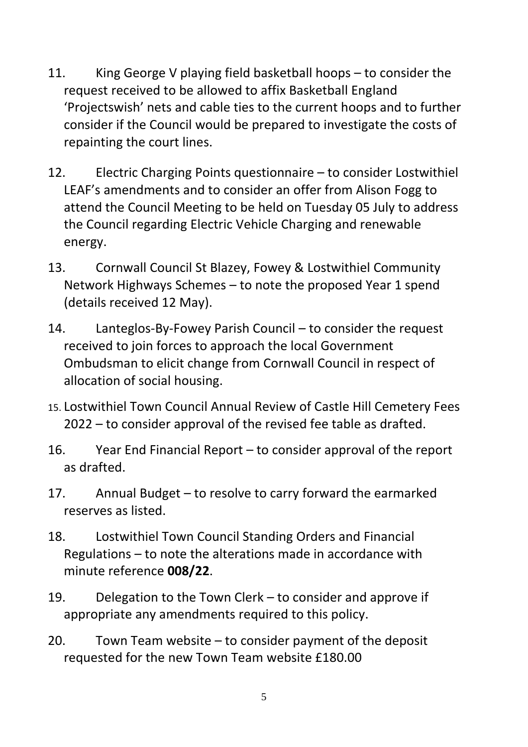- 11. King George V playing field basketball hoops to consider the request received to be allowed to affix Basketball England 'Projectswish' nets and cable ties to the current hoops and to further consider if the Council would be prepared to investigate the costs of repainting the court lines.
- 12. Electric Charging Points questionnaire to consider Lostwithiel LEAF's amendments and to consider an offer from Alison Fogg to attend the Council Meeting to be held on Tuesday 05 July to address the Council regarding Electric Vehicle Charging and renewable energy.
- 13. Cornwall Council St Blazey, Fowey & Lostwithiel Community Network Highways Schemes – to note the proposed Year 1 spend (details received 12 May).
- 14. Lanteglos-By-Fowey Parish Council to consider the request received to join forces to approach the local Government Ombudsman to elicit change from Cornwall Council in respect of allocation of social housing.
- 15. Lostwithiel Town Council Annual Review of Castle Hill Cemetery Fees 2022 – to consider approval of the revised fee table as drafted.
- 16. Year End Financial Report to consider approval of the report as drafted.
- 17. Annual Budget to resolve to carry forward the earmarked reserves as listed.
- 18. Lostwithiel Town Council Standing Orders and Financial Regulations – to note the alterations made in accordance with minute reference **008/22**.
- 19. Delegation to the Town Clerk to consider and approve if appropriate any amendments required to this policy.
- 20. Town Team website to consider payment of the deposit requested for the new Town Team website £180.00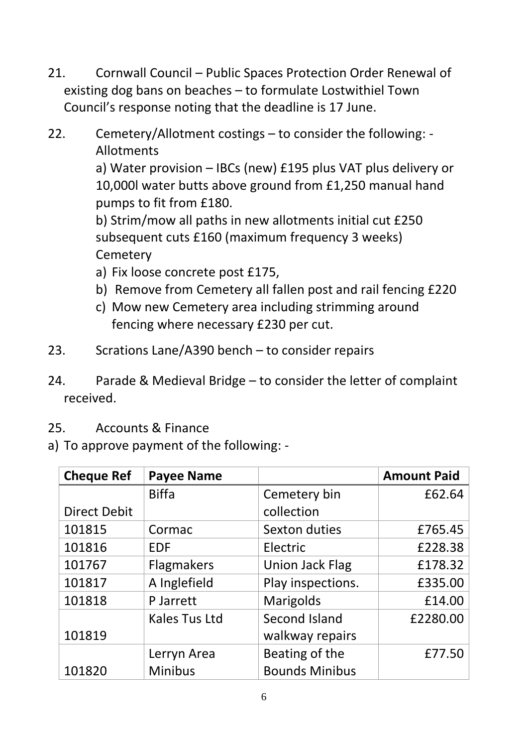- 21. Cornwall Council Public Spaces Protection Order Renewal of existing dog bans on beaches – to formulate Lostwithiel Town Council's response noting that the deadline is 17 June.
- 22. Cemetery/Allotment costings to consider the following: Allotments

a) Water provision – IBCs (new) £195 plus VAT plus delivery or 10,000l water butts above ground from £1,250 manual hand pumps to fit from £180.

b) Strim/mow all paths in new allotments initial cut £250 subsequent cuts £160 (maximum frequency 3 weeks) **Cemetery** 

- a) Fix loose concrete post £175,
- b) Remove from Cemetery all fallen post and rail fencing £220
- c) Mow new Cemetery area including strimming around fencing where necessary £230 per cut.
- 23. Scrations Lane/A390 bench to consider repairs
- 24. Parade & Medieval Bridge to consider the letter of complaint received.
- 25. Accounts & Finance
- a) To approve payment of the following: -

| <b>Cheque Ref</b>   | <b>Payee Name</b>    |                        | <b>Amount Paid</b> |
|---------------------|----------------------|------------------------|--------------------|
|                     | <b>Biffa</b>         | Cemetery bin           | £62.64             |
| <b>Direct Debit</b> |                      | collection             |                    |
| 101815              | Cormac               | Sexton duties          | £765.45            |
| 101816              | <b>EDF</b>           | Electric               | £228.38            |
| 101767              | <b>Flagmakers</b>    | <b>Union Jack Flag</b> | £178.32            |
| 101817              | A Inglefield         | Play inspections.      | £335.00            |
| 101818              | P Jarrett            | <b>Marigolds</b>       | £14.00             |
|                     | <b>Kales Tus Ltd</b> | Second Island          | £2280.00           |
| 101819              |                      | walkway repairs        |                    |
|                     | Lerryn Area          | Beating of the         | £77.50             |
| 101820              | <b>Minibus</b>       | <b>Bounds Minibus</b>  |                    |